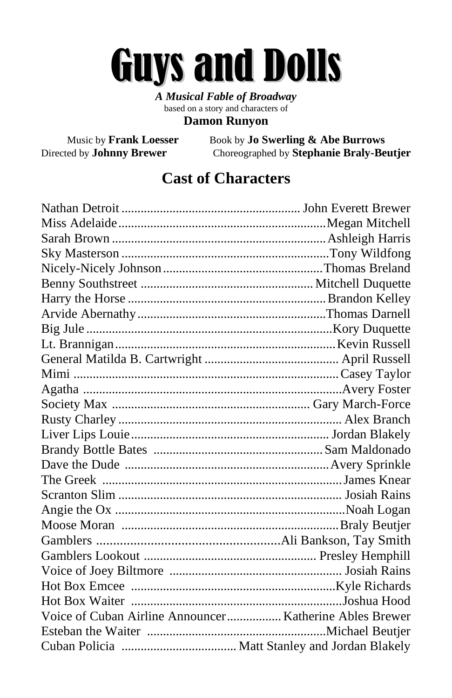# Guys and Dolls

*A Musical Fable of Broadway* based on a story and characters of **Damon Runyon**

Music by **Frank Loesser** Book by **Jo Swerling & Abe Burrows** Directed by **Johnny Brewer** Choreographed by **Stephanie Braly-Beutjer**

#### **Cast of Characters**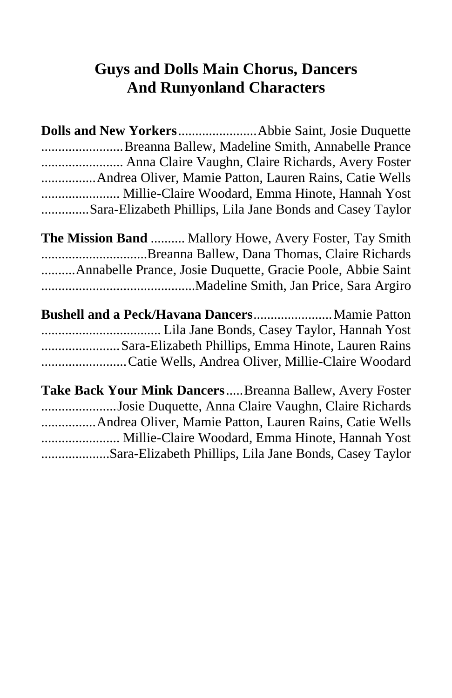#### **Guys and Dolls Main Chorus, Dancers And Runyonland Characters**

| Breanna Ballew, Madeline Smith, Annabelle Prance               |
|----------------------------------------------------------------|
| Anna Claire Vaughn, Claire Richards, Avery Foster              |
|                                                                |
| Millie-Claire Woodard, Emma Hinote, Hannah Yost                |
| Sara-Elizabeth Phillips, Lila Jane Bonds and Casey Taylor      |
| <b>The Mission Band  Mallory Howe, Avery Foster, Tay Smith</b> |
| Breanna Ballew, Dana Thomas, Claire Richards                   |
| Annabelle Prance, Josie Duquette, Gracie Poole, Abbie Saint    |
|                                                                |
| Bushell and a Peck/Havana Dancers Mamie Patton                 |
|                                                                |
| Sara-Elizabeth Phillips, Emma Hinote, Lauren Rains             |
| Catie Wells, Andrea Oliver, Millie-Claire Woodard              |
| Take Back Your Mink Dancers Breanna Ballew, Avery Foster       |
| Josie Duquette, Anna Claire Vaughn, Claire Richards            |
|                                                                |
| Millie-Claire Woodard, Emma Hinote, Hannah Yost                |
| Sara-Elizabeth Phillips, Lila Jane Bonds, Casey Taylor         |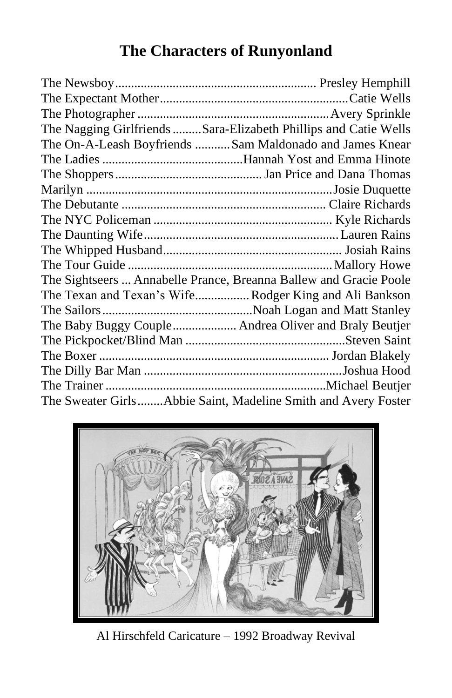## **The Characters of Runyonland**

| The Nagging Girlfriends Sara-Elizabeth Phillips and Catie Wells   |  |
|-------------------------------------------------------------------|--|
| The On-A-Leash Boyfriends  Sam Maldonado and James Knear          |  |
|                                                                   |  |
|                                                                   |  |
|                                                                   |  |
|                                                                   |  |
|                                                                   |  |
|                                                                   |  |
|                                                                   |  |
|                                                                   |  |
| The Sightseers  Annabelle Prance, Breanna Ballew and Gracie Poole |  |
| The Texan and Texan's Wife Rodger King and Ali Bankson            |  |
|                                                                   |  |
| The Baby Buggy Couple Andrea Oliver and Braly Beutjer             |  |
|                                                                   |  |
|                                                                   |  |
|                                                                   |  |
|                                                                   |  |
| The Sweater GirlsAbbie Saint, Madeline Smith and Avery Foster     |  |



Al Hirschfeld Caricature – 1992 Broadway Revival